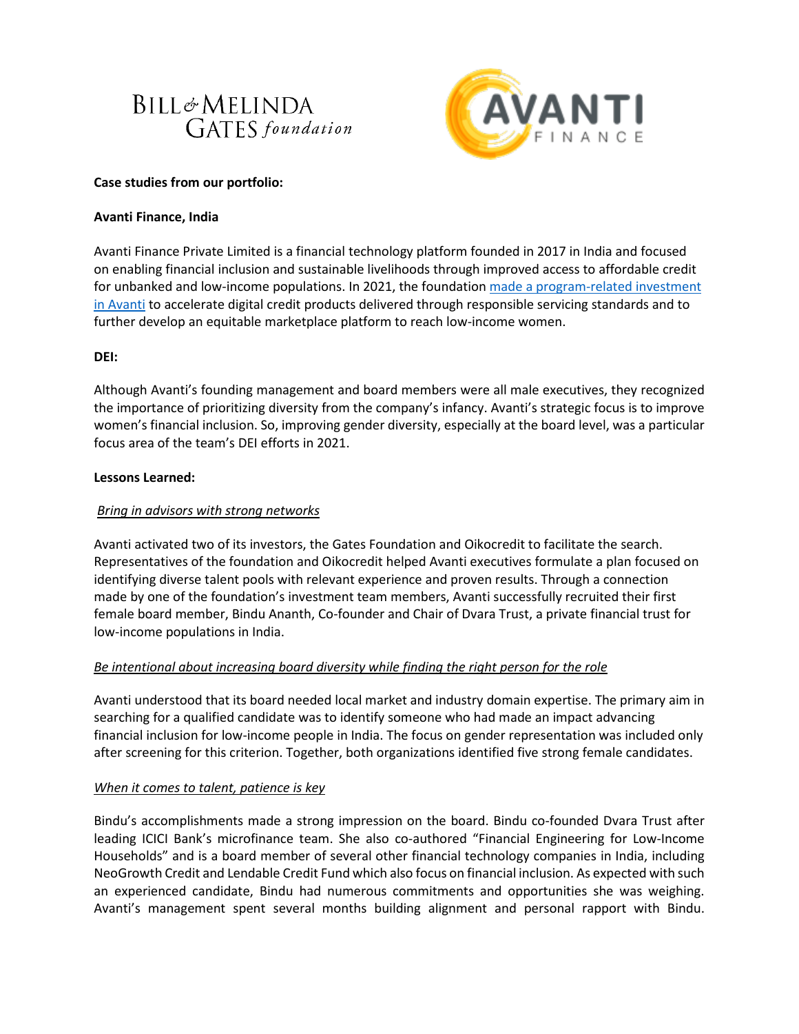# **BILL**&MELINDA **GATES** foundation



## **Case studies from our portfolio:**

## **Avanti Finance, India**

Avanti Finance Private Limited is a financial technology platform founded in 2017 in India and focused on enabling financial inclusion and sustainable livelihoods through improved access to affordable credit for unbanked and low-income populations. In 2021, the foundation made a program-related investment [in Avanti](https://sif.gatesfoundation.org/investments/avanti-finance/) to accelerate digital credit products delivered through responsible servicing standards and to further develop an equitable marketplace platform to reach low-income women.

## **DEI:**

Although Avanti's founding management and board members were all male executives, they recognized the importance of prioritizing diversity from the company's infancy. Avanti's strategic focus is to improve women's financial inclusion. So, improving gender diversity, especially at the board level, was a particular focus area of the team's DEI efforts in 2021.

### **Lessons Learned:**

## *Bring in advisors with strong networks*

Avanti activated two of its investors, the Gates Foundation and Oikocredit to facilitate the search. Representatives of the foundation and Oikocredit helped Avanti executives formulate a plan focused on identifying diverse talent pools with relevant experience and proven results. Through a connection made by one of the foundation's investment team members, Avanti successfully recruited their first female board member, Bindu Ananth, Co-founder and Chair of Dvara Trust, a private financial trust for low-income populations in India.

## *Be intentional about increasing board diversity while finding the right person for the role*

Avanti understood that its board needed local market and industry domain expertise. The primary aim in searching for a qualified candidate was to identify someone who had made an impact advancing financial inclusion for low-income people in India. The focus on gender representation was included only after screening for this criterion. Together, both organizations identified five strong female candidates.

### *When it comes to talent, patience is key*

Bindu's accomplishments made a strong impression on the board. Bindu co-founded Dvara Trust after leading ICICI Bank's microfinance team. She also co-authored "Financial Engineering for Low-Income Households" and is a board member of several other financial technology companies in India, including NeoGrowth Credit and Lendable Credit Fund which also focus on financial inclusion. As expected with such an experienced candidate, Bindu had numerous commitments and opportunities she was weighing. Avanti's management spent several months building alignment and personal rapport with Bindu.